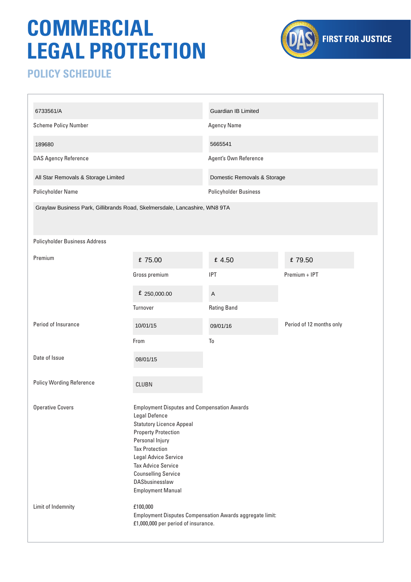## **COMMERCIAL LEGAL PROTECTION**



## **POLICY SCHEDULE**

| 6733561/A                                                                  |                                                                                                                                                                                                                                                                                                                   | Guardian IB Limited          |                          |
|----------------------------------------------------------------------------|-------------------------------------------------------------------------------------------------------------------------------------------------------------------------------------------------------------------------------------------------------------------------------------------------------------------|------------------------------|--------------------------|
| <b>Scheme Policy Number</b>                                                |                                                                                                                                                                                                                                                                                                                   | <b>Agency Name</b>           |                          |
| 189680                                                                     |                                                                                                                                                                                                                                                                                                                   | 5665541                      |                          |
| <b>DAS Agency Reference</b>                                                |                                                                                                                                                                                                                                                                                                                   | Agent's Own Reference        |                          |
| All Star Removals & Storage Limited                                        |                                                                                                                                                                                                                                                                                                                   | Domestic Removals & Storage  |                          |
| Policyholder Name                                                          |                                                                                                                                                                                                                                                                                                                   | <b>Policyholder Business</b> |                          |
| Graylaw Business Park, Gillibrands Road, Skelmersdale, Lancashire, WN8 9TA |                                                                                                                                                                                                                                                                                                                   |                              |                          |
| Policyholder Business Address                                              |                                                                                                                                                                                                                                                                                                                   |                              |                          |
| Premium                                                                    | £ 75.00                                                                                                                                                                                                                                                                                                           | £ 4.50                       | £79.50                   |
|                                                                            | Gross premium                                                                                                                                                                                                                                                                                                     | <b>IPT</b>                   | Premium + IPT            |
|                                                                            | £ 250,000.00                                                                                                                                                                                                                                                                                                      | A                            |                          |
|                                                                            | Turnover                                                                                                                                                                                                                                                                                                          | <b>Rating Band</b>           |                          |
| Period of Insurance                                                        | 10/01/15                                                                                                                                                                                                                                                                                                          | 09/01/16                     | Period of 12 months only |
|                                                                            | From                                                                                                                                                                                                                                                                                                              | To                           |                          |
| Date of Issue                                                              | 08/01/15                                                                                                                                                                                                                                                                                                          |                              |                          |
| <b>Policy Wording Reference</b>                                            | CLUBN                                                                                                                                                                                                                                                                                                             |                              |                          |
|                                                                            |                                                                                                                                                                                                                                                                                                                   |                              |                          |
| <b>Operative Covers</b>                                                    | <b>Employment Disputes and Compensation Awards</b><br>Legal Defence<br><b>Statutory Licence Appeal</b><br><b>Property Protection</b><br>Personal Injury<br><b>Tax Protection</b><br>Legal Advice Service<br><b>Tax Advice Service</b><br><b>Counselling Service</b><br>DASbusinesslaw<br><b>Employment Manual</b> |                              |                          |
| Limit of Indemnity                                                         | £100,000<br>Employment Disputes Compensation Awards aggregate limit:<br>£1,000,000 per period of insurance.                                                                                                                                                                                                       |                              |                          |